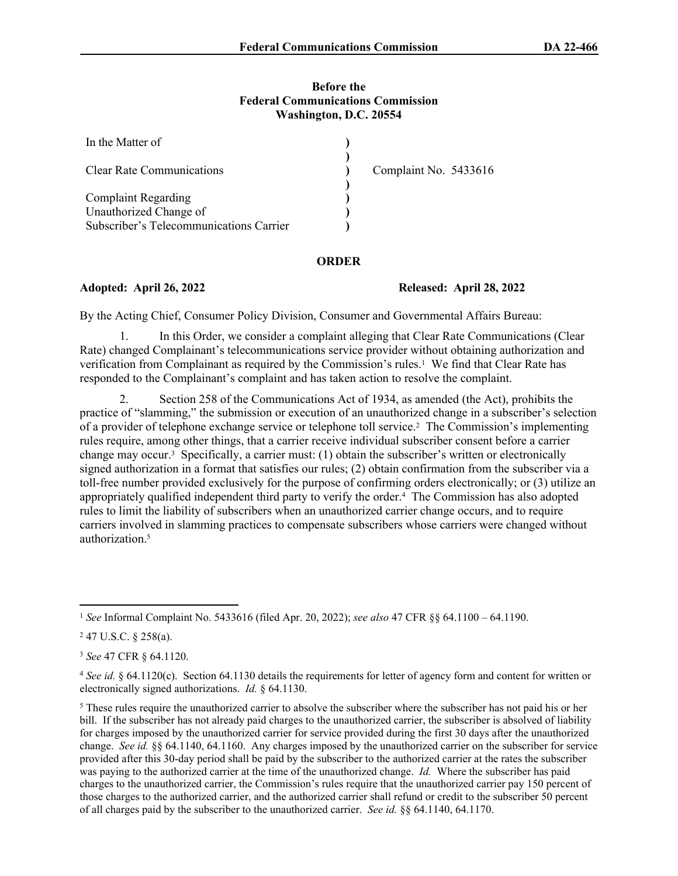## **Before the Federal Communications Commission Washington, D.C. 20554**

| In the Matter of                        |                       |
|-----------------------------------------|-----------------------|
| <b>Clear Rate Communications</b>        | Complaint No. 5433616 |
| <b>Complaint Regarding</b>              |                       |
| Unauthorized Change of                  |                       |
| Subscriber's Telecommunications Carrier |                       |

## **ORDER**

**Adopted: April 26, 2022 Released: April 28, 2022**

By the Acting Chief, Consumer Policy Division, Consumer and Governmental Affairs Bureau:

1. In this Order, we consider a complaint alleging that Clear Rate Communications (Clear Rate) changed Complainant's telecommunications service provider without obtaining authorization and verification from Complainant as required by the Commission's rules.<sup>1</sup> We find that Clear Rate has responded to the Complainant's complaint and has taken action to resolve the complaint.

2. Section 258 of the Communications Act of 1934, as amended (the Act), prohibits the practice of "slamming," the submission or execution of an unauthorized change in a subscriber's selection of a provider of telephone exchange service or telephone toll service.<sup>2</sup> The Commission's implementing rules require, among other things, that a carrier receive individual subscriber consent before a carrier change may occur.<sup>3</sup> Specifically, a carrier must: (1) obtain the subscriber's written or electronically signed authorization in a format that satisfies our rules; (2) obtain confirmation from the subscriber via a toll-free number provided exclusively for the purpose of confirming orders electronically; or (3) utilize an appropriately qualified independent third party to verify the order.<sup>4</sup> The Commission has also adopted rules to limit the liability of subscribers when an unauthorized carrier change occurs, and to require carriers involved in slamming practices to compensate subscribers whose carriers were changed without authorization<sup>5</sup>

<sup>1</sup>  *See* Informal Complaint No. 5433616 (filed Apr. 20, 2022); *see also* 47 CFR §§ 64.1100 – 64.1190.

 $247$  U.S.C. § 258(a).

<sup>3</sup> *See* 47 CFR § 64.1120.

<sup>4</sup>  *See id.* § 64.1120(c). Section 64.1130 details the requirements for letter of agency form and content for written or electronically signed authorizations. *Id.* § 64.1130.

<sup>&</sup>lt;sup>5</sup> These rules require the unauthorized carrier to absolve the subscriber where the subscriber has not paid his or her bill. If the subscriber has not already paid charges to the unauthorized carrier, the subscriber is absolved of liability for charges imposed by the unauthorized carrier for service provided during the first 30 days after the unauthorized change. *See id.* §§ 64.1140, 64.1160. Any charges imposed by the unauthorized carrier on the subscriber for service provided after this 30-day period shall be paid by the subscriber to the authorized carrier at the rates the subscriber was paying to the authorized carrier at the time of the unauthorized change. *Id.* Where the subscriber has paid charges to the unauthorized carrier, the Commission's rules require that the unauthorized carrier pay 150 percent of those charges to the authorized carrier, and the authorized carrier shall refund or credit to the subscriber 50 percent of all charges paid by the subscriber to the unauthorized carrier. *See id.* §§ 64.1140, 64.1170.